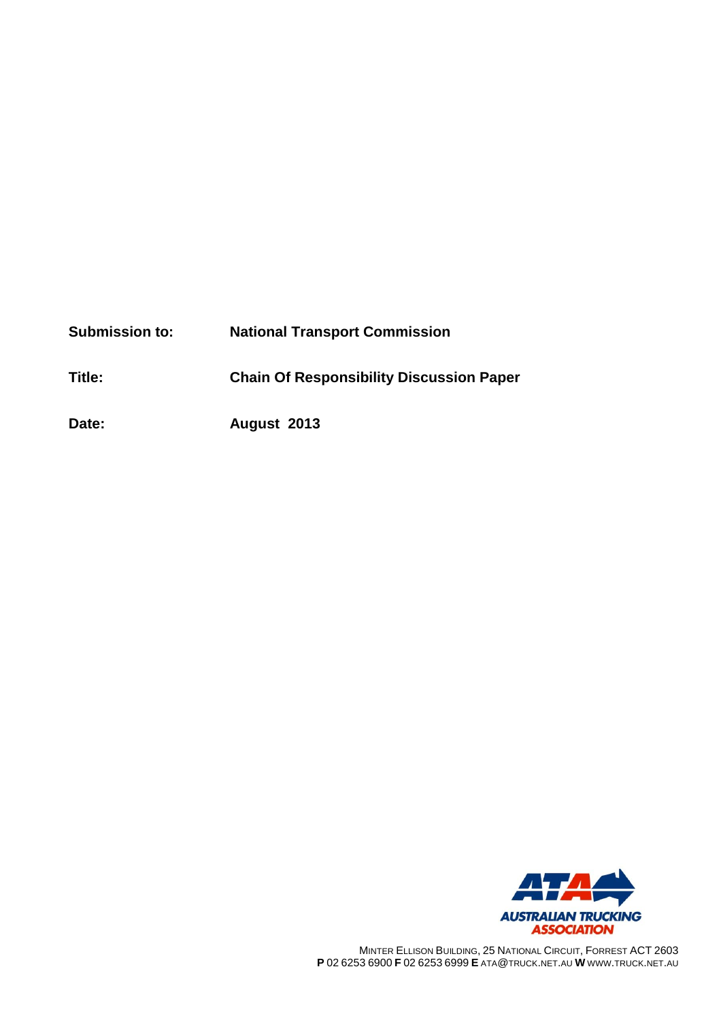| <b>Submission to:</b> | <b>National Transport Commission</b>            |
|-----------------------|-------------------------------------------------|
| Title:                | <b>Chain Of Responsibility Discussion Paper</b> |
| Date:                 | August 2013                                     |



MINTER ELLISON BUILDING, 25 NATIONAL CIRCUIT, FORREST ACT 2603 **P** 02 6253 6900 **F** 02 6253 6999 **E** ATA@TRUCK.NET.AU **W** WWW.TRUCK.NET.AU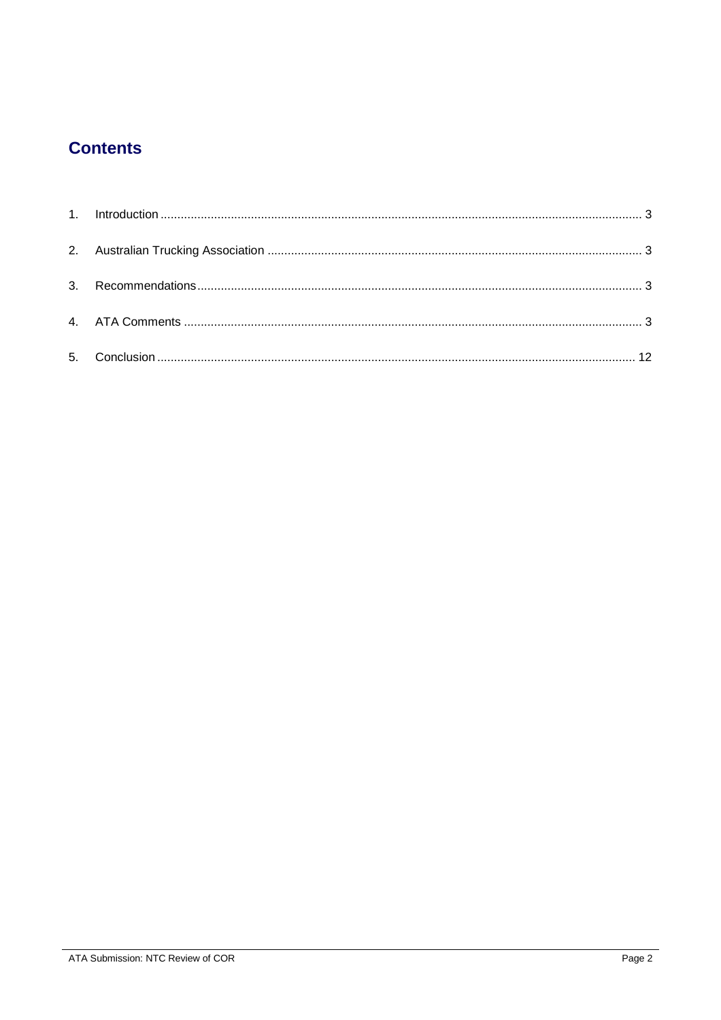# **Contents**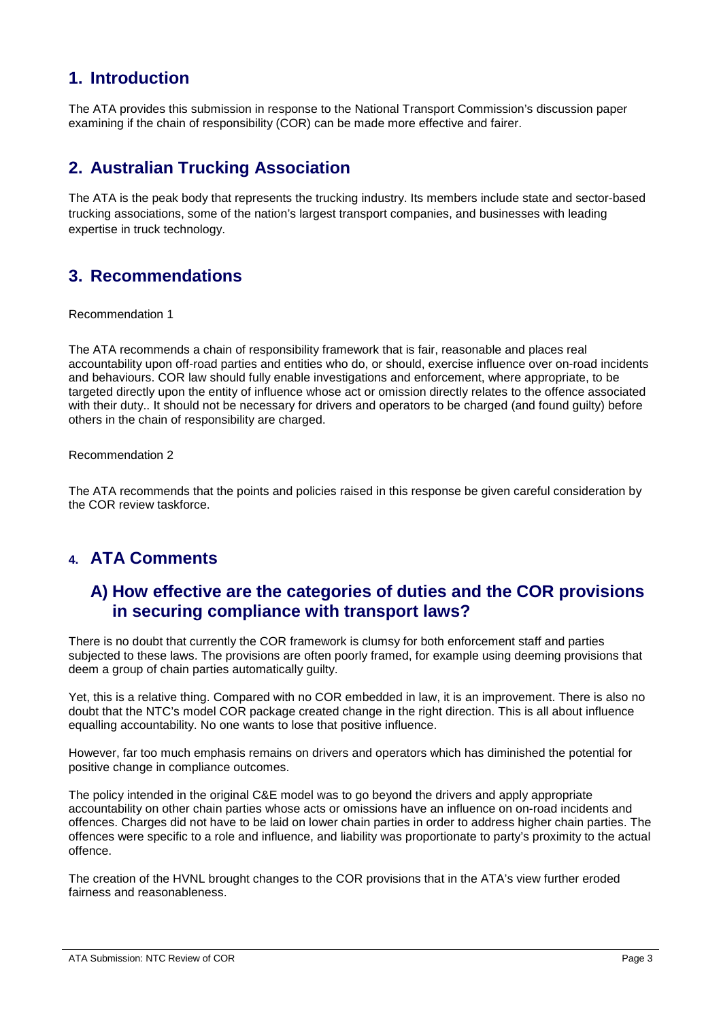# <span id="page-2-0"></span>**1. Introduction**

The ATA provides this submission in response to the National Transport Commission's discussion paper examining if the chain of responsibility (COR) can be made more effective and fairer.

# <span id="page-2-1"></span>**2. Australian Trucking Association**

The ATA is the peak body that represents the trucking industry. Its members include state and sector-based trucking associations, some of the nation's largest transport companies, and businesses with leading expertise in truck technology.

# <span id="page-2-2"></span>**3. Recommendations**

Recommendation 1

The ATA recommends a chain of responsibility framework that is fair, reasonable and places real accountability upon off-road parties and entities who do, or should, exercise influence over on-road incidents and behaviours. COR law should fully enable investigations and enforcement, where appropriate, to be targeted directly upon the entity of influence whose act or omission directly relates to the offence associated with their duty.. It should not be necessary for drivers and operators to be charged (and found guilty) before others in the chain of responsibility are charged.

Recommendation 2

The ATA recommends that the points and policies raised in this response be given careful consideration by the COR review taskforce.

# <span id="page-2-3"></span>**4. ATA Comments**

# **A) How effective are the categories of duties and the COR provisions in securing compliance with transport laws?**

There is no doubt that currently the COR framework is clumsy for both enforcement staff and parties subjected to these laws. The provisions are often poorly framed, for example using deeming provisions that deem a group of chain parties automatically guilty.

Yet, this is a relative thing. Compared with no COR embedded in law, it is an improvement. There is also no doubt that the NTC's model COR package created change in the right direction. This is all about influence equalling accountability. No one wants to lose that positive influence.

However, far too much emphasis remains on drivers and operators which has diminished the potential for positive change in compliance outcomes.

The policy intended in the original C&E model was to go beyond the drivers and apply appropriate accountability on other chain parties whose acts or omissions have an influence on on-road incidents and offences. Charges did not have to be laid on lower chain parties in order to address higher chain parties. The offences were specific to a role and influence, and liability was proportionate to party's proximity to the actual offence.

The creation of the HVNL brought changes to the COR provisions that in the ATA's view further eroded fairness and reasonableness.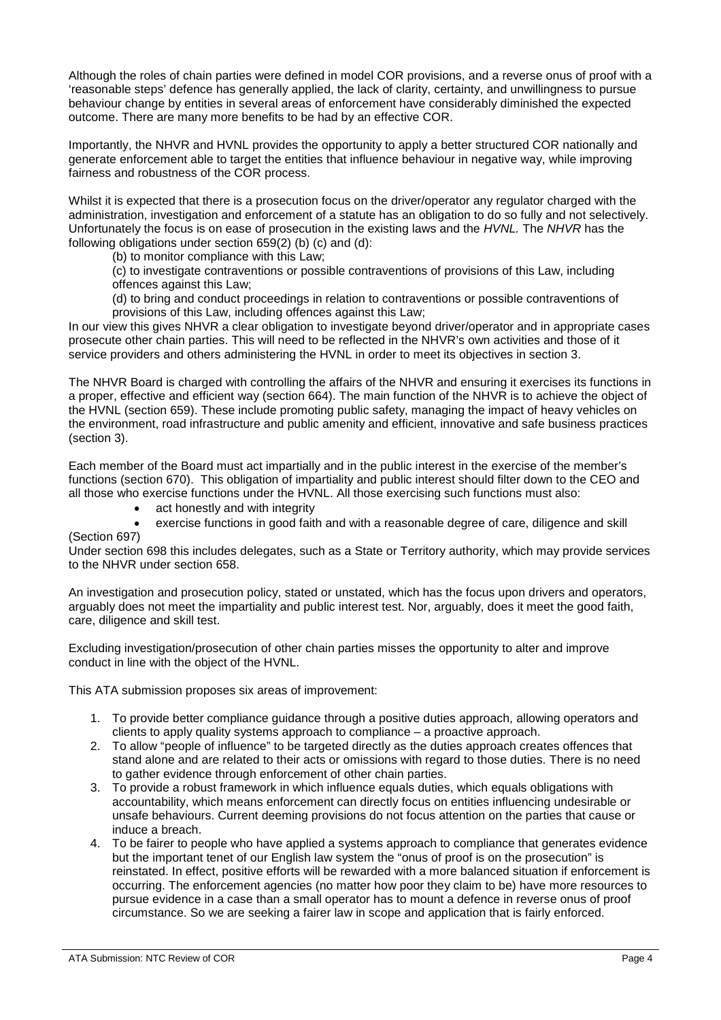Although the roles of chain parties were defined in model COR provisions, and a reverse onus of proof with a 'reasonable steps' defence has generally applied, the lack of clarity, certainty, and unwillingness to pursue behaviour change by entities in several areas of enforcement have considerably diminished the expected outcome. There are many more benefits to be had by an effective COR.

Importantly, the NHVR and HVNL provides the opportunity to apply a better structured COR nationally and generate enforcement able to target the entities that influence behaviour in negative way, while improving fairness and robustness of the COR process.

Whilst it is expected that there is a prosecution focus on the driver/operator any regulator charged with the administration, investigation and enforcement of a statute has an obligation to do so fully and not selectively. Unfortunately the focus is on ease of prosecution in the existing laws and the *HVNL.* The *NHVR* has the following obligations under section 659(2) (b) (c) and (d):

(b) to monitor compliance with this Law;

(c) to investigate contraventions or possible contraventions of provisions of this Law, including offences against this Law;

(d) to bring and conduct proceedings in relation to contraventions or possible contraventions of provisions of this Law, including offences against this Law;

In our view this gives NHVR a clear obligation to investigate beyond driver/operator and in appropriate cases prosecute other chain parties. This will need to be reflected in the NHVR's own activities and those of it service providers and others administering the HVNL in order to meet its objectives in section 3.

The NHVR Board is charged with controlling the affairs of the NHVR and ensuring it exercises its functions in a proper, effective and efficient way (section 664). The main function of the NHVR is to achieve the object of the HVNL (section 659). These include promoting public safety, managing the impact of heavy vehicles on the environment, road infrastructure and public amenity and efficient, innovative and safe business practices (section 3).

Each member of the Board must act impartially and in the public interest in the exercise of the member's functions (section 670). This obligation of impartiality and public interest should filter down to the CEO and all those who exercise functions under the HVNL. All those exercising such functions must also:

- act honestly and with integrity
- exercise functions in good faith and with a reasonable degree of care, diligence and skill (Section 697)

Under section 698 this includes delegates, such as a State or Territory authority, which may provide services to the NHVR under section 658.

An investigation and prosecution policy, stated or unstated, which has the focus upon drivers and operators, arguably does not meet the impartiality and public interest test. Nor, arguably, does it meet the good faith, care, diligence and skill test.

Excluding investigation/prosecution of other chain parties misses the opportunity to alter and improve conduct in line with the object of the HVNL.

This ATA submission proposes six areas of improvement:

- 1. To provide better compliance guidance through a positive duties approach, allowing operators and clients to apply quality systems approach to compliance – a proactive approach.
- 2. To allow "people of influence" to be targeted directly as the duties approach creates offences that stand alone and are related to their acts or omissions with regard to those duties. There is no need to gather evidence through enforcement of other chain parties.
- 3. To provide a robust framework in which influence equals duties, which equals obligations with accountability, which means enforcement can directly focus on entities influencing undesirable or unsafe behaviours. Current deeming provisions do not focus attention on the parties that cause or induce a breach.
- 4. To be fairer to people who have applied a systems approach to compliance that generates evidence but the important tenet of our English law system the "onus of proof is on the prosecution" is reinstated. In effect, positive efforts will be rewarded with a more balanced situation if enforcement is occurring. The enforcement agencies (no matter how poor they claim to be) have more resources to pursue evidence in a case than a small operator has to mount a defence in reverse onus of proof circumstance. So we are seeking a fairer law in scope and application that is fairly enforced.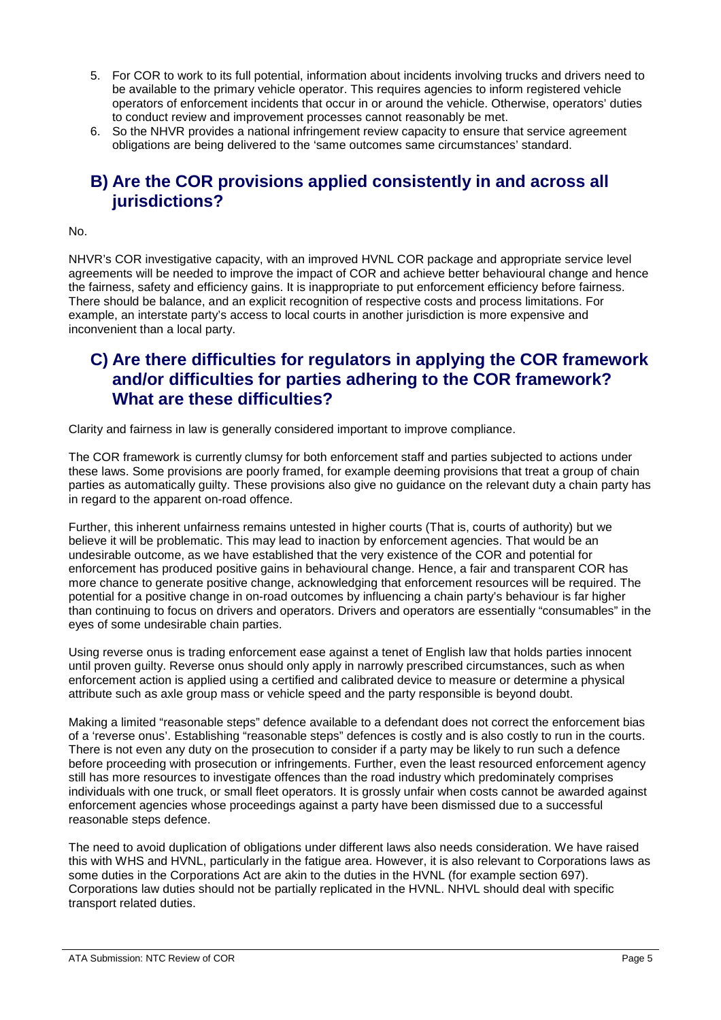- 5. For COR to work to its full potential, information about incidents involving trucks and drivers need to be available to the primary vehicle operator. This requires agencies to inform registered vehicle operators of enforcement incidents that occur in or around the vehicle. Otherwise, operators' duties to conduct review and improvement processes cannot reasonably be met.
- 6. So the NHVR provides a national infringement review capacity to ensure that service agreement obligations are being delivered to the 'same outcomes same circumstances' standard.

# **B) Are the COR provisions applied consistently in and across all jurisdictions?**

#### No.

NHVR's COR investigative capacity, with an improved HVNL COR package and appropriate service level agreements will be needed to improve the impact of COR and achieve better behavioural change and hence the fairness, safety and efficiency gains. It is inappropriate to put enforcement efficiency before fairness. There should be balance, and an explicit recognition of respective costs and process limitations. For example, an interstate party's access to local courts in another jurisdiction is more expensive and inconvenient than a local party.

# **C) Are there difficulties for regulators in applying the COR framework and/or difficulties for parties adhering to the COR framework? What are these difficulties?**

Clarity and fairness in law is generally considered important to improve compliance.

The COR framework is currently clumsy for both enforcement staff and parties subjected to actions under these laws. Some provisions are poorly framed, for example deeming provisions that treat a group of chain parties as automatically guilty. These provisions also give no guidance on the relevant duty a chain party has in regard to the apparent on-road offence.

Further, this inherent unfairness remains untested in higher courts (That is, courts of authority) but we believe it will be problematic. This may lead to inaction by enforcement agencies. That would be an undesirable outcome, as we have established that the very existence of the COR and potential for enforcement has produced positive gains in behavioural change. Hence, a fair and transparent COR has more chance to generate positive change, acknowledging that enforcement resources will be required. The potential for a positive change in on-road outcomes by influencing a chain party's behaviour is far higher than continuing to focus on drivers and operators. Drivers and operators are essentially "consumables" in the eyes of some undesirable chain parties.

Using reverse onus is trading enforcement ease against a tenet of English law that holds parties innocent until proven guilty. Reverse onus should only apply in narrowly prescribed circumstances, such as when enforcement action is applied using a certified and calibrated device to measure or determine a physical attribute such as axle group mass or vehicle speed and the party responsible is beyond doubt.

Making a limited "reasonable steps" defence available to a defendant does not correct the enforcement bias of a 'reverse onus'. Establishing "reasonable steps" defences is costly and is also costly to run in the courts. There is not even any duty on the prosecution to consider if a party may be likely to run such a defence before proceeding with prosecution or infringements. Further, even the least resourced enforcement agency still has more resources to investigate offences than the road industry which predominately comprises individuals with one truck, or small fleet operators. It is grossly unfair when costs cannot be awarded against enforcement agencies whose proceedings against a party have been dismissed due to a successful reasonable steps defence.

The need to avoid duplication of obligations under different laws also needs consideration. We have raised this with WHS and HVNL, particularly in the fatigue area. However, it is also relevant to Corporations laws as some duties in the Corporations Act are akin to the duties in the HVNL (for example section 697). Corporations law duties should not be partially replicated in the HVNL. NHVL should deal with specific transport related duties.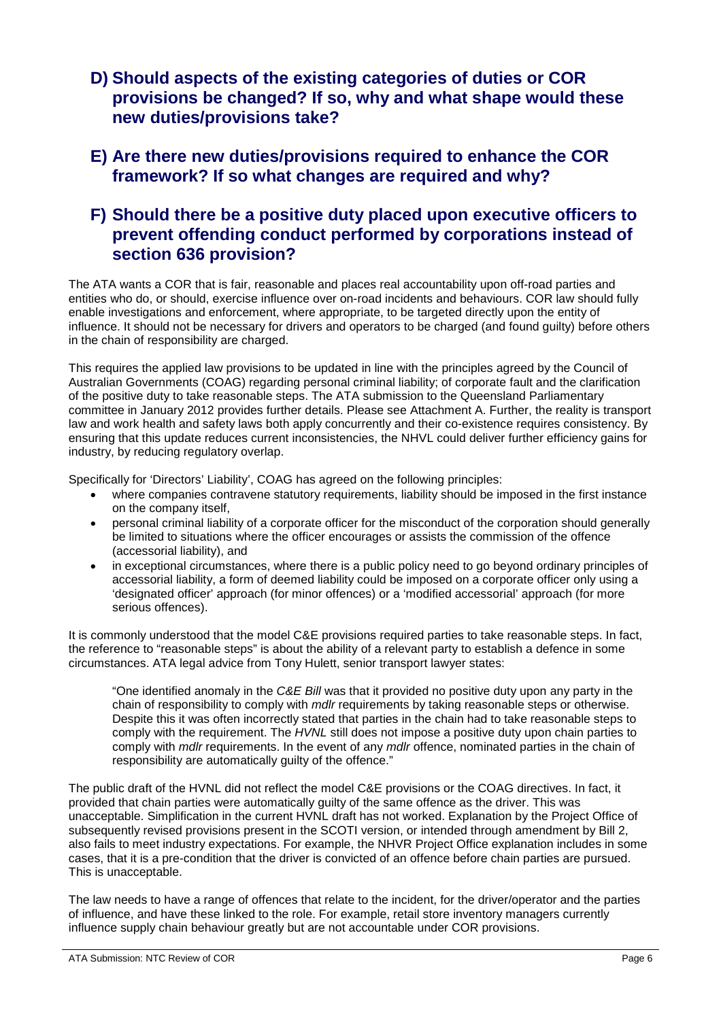- **D) Should aspects of the existing categories of duties or COR provisions be changed? If so, why and what shape would these new duties/provisions take?**
- **E) Are there new duties/provisions required to enhance the COR framework? If so what changes are required and why?**

# **F) Should there be a positive duty placed upon executive officers to prevent offending conduct performed by corporations instead of section 636 provision?**

The ATA wants a COR that is fair, reasonable and places real accountability upon off-road parties and entities who do, or should, exercise influence over on-road incidents and behaviours. COR law should fully enable investigations and enforcement, where appropriate, to be targeted directly upon the entity of influence. It should not be necessary for drivers and operators to be charged (and found guilty) before others in the chain of responsibility are charged.

This requires the applied law provisions to be updated in line with the principles agreed by the Council of Australian Governments (COAG) regarding personal criminal liability; of corporate fault and the clarification of the positive duty to take reasonable steps. The ATA submission to the Queensland Parliamentary committee in January 2012 provides further details. Please see Attachment A. Further, the reality is transport law and work health and safety laws both apply concurrently and their co-existence requires consistency. By ensuring that this update reduces current inconsistencies, the NHVL could deliver further efficiency gains for industry, by reducing regulatory overlap.

Specifically for 'Directors' Liability', COAG has agreed on the following principles:

- where companies contravene statutory requirements, liability should be imposed in the first instance on the company itself,
- personal criminal liability of a corporate officer for the misconduct of the corporation should generally be limited to situations where the officer encourages or assists the commission of the offence (accessorial liability), and
- in exceptional circumstances, where there is a public policy need to go beyond ordinary principles of accessorial liability, a form of deemed liability could be imposed on a corporate officer only using a 'designated officer' approach (for minor offences) or a 'modified accessorial' approach (for more serious offences).

It is commonly understood that the model C&E provisions required parties to take reasonable steps. In fact, the reference to "reasonable steps" is about the ability of a relevant party to establish a defence in some circumstances. ATA legal advice from Tony Hulett, senior transport lawyer states:

"One identified anomaly in the *C&E Bill* was that it provided no positive duty upon any party in the chain of responsibility to comply with *mdlr* requirements by taking reasonable steps or otherwise. Despite this it was often incorrectly stated that parties in the chain had to take reasonable steps to comply with the requirement. The *HVNL* still does not impose a positive duty upon chain parties to comply with *mdlr* requirements. In the event of any *mdlr* offence, nominated parties in the chain of responsibility are automatically guilty of the offence."

The public draft of the HVNL did not reflect the model C&E provisions or the COAG directives. In fact, it provided that chain parties were automatically guilty of the same offence as the driver. This was unacceptable. Simplification in the current HVNL draft has not worked. Explanation by the Project Office of subsequently revised provisions present in the SCOTI version, or intended through amendment by Bill 2, also fails to meet industry expectations. For example, the NHVR Project Office explanation includes in some cases, that it is a pre-condition that the driver is convicted of an offence before chain parties are pursued. This is unacceptable.

The law needs to have a range of offences that relate to the incident, for the driver/operator and the parties of influence, and have these linked to the role. For example, retail store inventory managers currently influence supply chain behaviour greatly but are not accountable under COR provisions.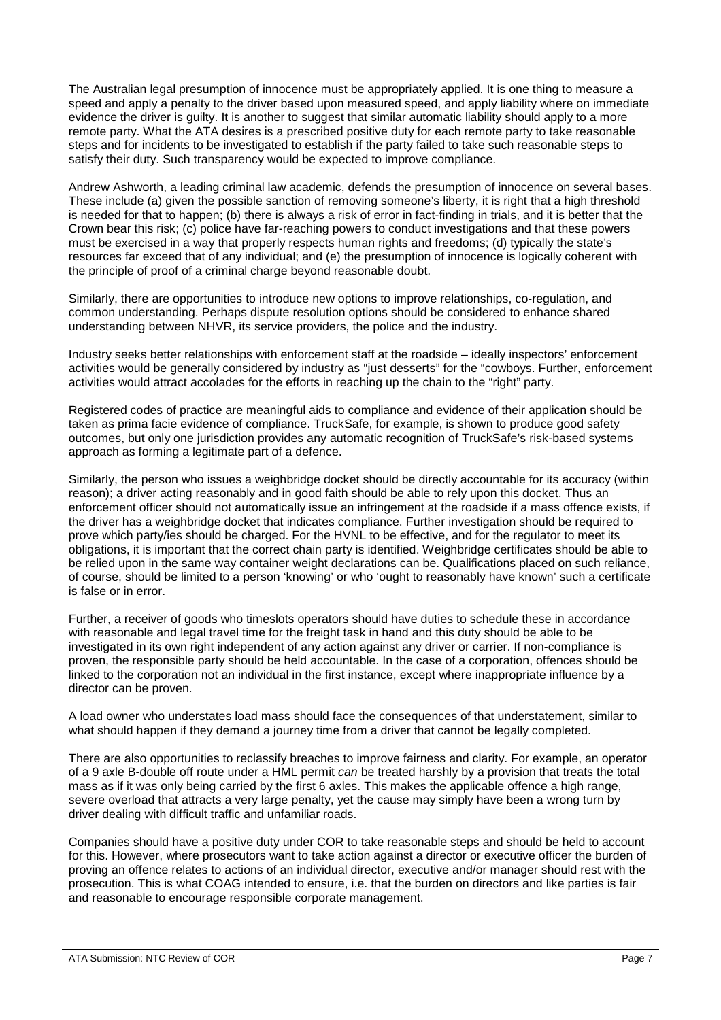The Australian legal presumption of innocence must be appropriately applied. It is one thing to measure a speed and apply a penalty to the driver based upon measured speed, and apply liability where on immediate evidence the driver is guilty. It is another to suggest that similar automatic liability should apply to a more remote party. What the ATA desires is a prescribed positive duty for each remote party to take reasonable steps and for incidents to be investigated to establish if the party failed to take such reasonable steps to satisfy their duty. Such transparency would be expected to improve compliance.

Andrew Ashworth, a leading criminal law academic, defends the presumption of innocence on several bases. These include (a) given the possible sanction of removing someone's liberty, it is right that a high threshold is needed for that to happen; (b) there is always a risk of error in fact-finding in trials, and it is better that the Crown bear this risk; (c) police have far-reaching powers to conduct investigations and that these powers must be exercised in a way that properly respects human rights and freedoms; (d) typically the state's resources far exceed that of any individual; and (e) the presumption of innocence is logically coherent with the principle of proof of a criminal charge beyond reasonable doubt.

Similarly, there are opportunities to introduce new options to improve relationships, co-regulation, and common understanding. Perhaps dispute resolution options should be considered to enhance shared understanding between NHVR, its service providers, the police and the industry.

Industry seeks better relationships with enforcement staff at the roadside – ideally inspectors' enforcement activities would be generally considered by industry as "just desserts" for the "cowboys. Further, enforcement activities would attract accolades for the efforts in reaching up the chain to the "right" party.

Registered codes of practice are meaningful aids to compliance and evidence of their application should be taken as prima facie evidence of compliance. TruckSafe, for example, is shown to produce good safety outcomes, but only one jurisdiction provides any automatic recognition of TruckSafe's risk-based systems approach as forming a legitimate part of a defence.

Similarly, the person who issues a weighbridge docket should be directly accountable for its accuracy (within reason); a driver acting reasonably and in good faith should be able to rely upon this docket. Thus an enforcement officer should not automatically issue an infringement at the roadside if a mass offence exists, if the driver has a weighbridge docket that indicates compliance. Further investigation should be required to prove which party/ies should be charged. For the HVNL to be effective, and for the regulator to meet its obligations, it is important that the correct chain party is identified. Weighbridge certificates should be able to be relied upon in the same way container weight declarations can be. Qualifications placed on such reliance, of course, should be limited to a person 'knowing' or who 'ought to reasonably have known' such a certificate is false or in error.

Further, a receiver of goods who timeslots operators should have duties to schedule these in accordance with reasonable and legal travel time for the freight task in hand and this duty should be able to be investigated in its own right independent of any action against any driver or carrier. If non-compliance is proven, the responsible party should be held accountable. In the case of a corporation, offences should be linked to the corporation not an individual in the first instance, except where inappropriate influence by a director can be proven.

A load owner who understates load mass should face the consequences of that understatement, similar to what should happen if they demand a journey time from a driver that cannot be legally completed.

There are also opportunities to reclassify breaches to improve fairness and clarity. For example, an operator of a 9 axle B-double off route under a HML permit *can* be treated harshly by a provision that treats the total mass as if it was only being carried by the first 6 axles. This makes the applicable offence a high range, severe overload that attracts a very large penalty, yet the cause may simply have been a wrong turn by driver dealing with difficult traffic and unfamiliar roads.

Companies should have a positive duty under COR to take reasonable steps and should be held to account for this. However, where prosecutors want to take action against a director or executive officer the burden of proving an offence relates to actions of an individual director, executive and/or manager should rest with the prosecution. This is what COAG intended to ensure, i.e. that the burden on directors and like parties is fair and reasonable to encourage responsible corporate management.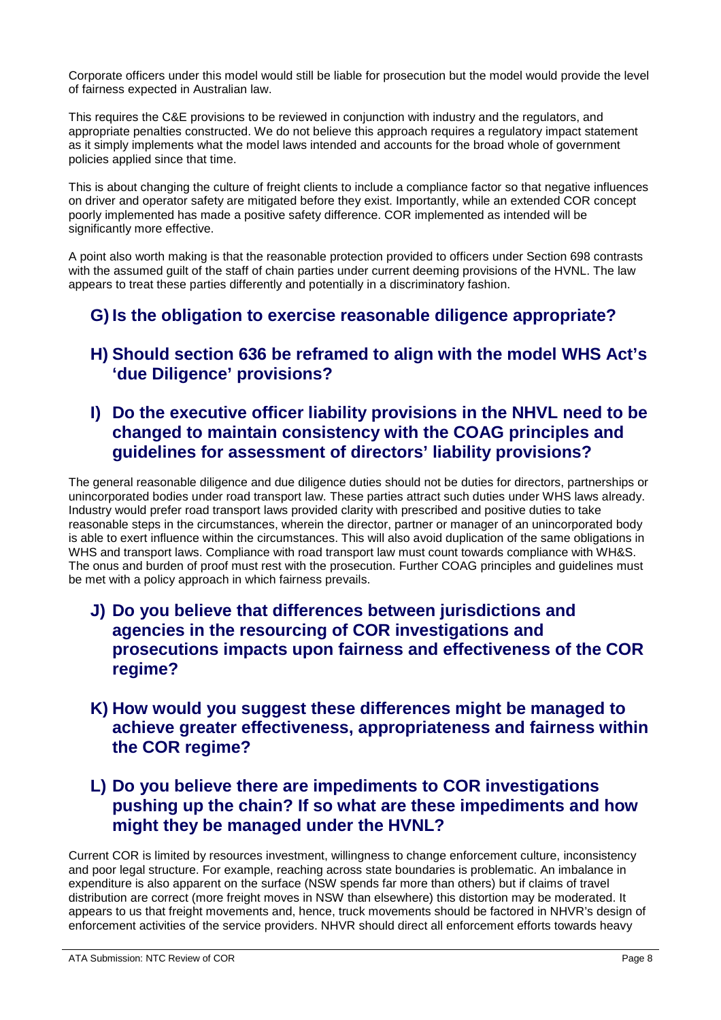Corporate officers under this model would still be liable for prosecution but the model would provide the level of fairness expected in Australian law.

This requires the C&E provisions to be reviewed in conjunction with industry and the regulators, and appropriate penalties constructed. We do not believe this approach requires a regulatory impact statement as it simply implements what the model laws intended and accounts for the broad whole of government policies applied since that time.

This is about changing the culture of freight clients to include a compliance factor so that negative influences on driver and operator safety are mitigated before they exist. Importantly, while an extended COR concept poorly implemented has made a positive safety difference. COR implemented as intended will be significantly more effective.

A point also worth making is that the reasonable protection provided to officers under Section 698 contrasts with the assumed guilt of the staff of chain parties under current deeming provisions of the HVNL. The law appears to treat these parties differently and potentially in a discriminatory fashion.

# **G) Is the obligation to exercise reasonable diligence appropriate?**

# **H) Should section 636 be reframed to align with the model WHS Act's 'due Diligence' provisions?**

# **I) Do the executive officer liability provisions in the NHVL need to be changed to maintain consistency with the COAG principles and guidelines for assessment of directors' liability provisions?**

The general reasonable diligence and due diligence duties should not be duties for directors, partnerships or unincorporated bodies under road transport law. These parties attract such duties under WHS laws already. Industry would prefer road transport laws provided clarity with prescribed and positive duties to take reasonable steps in the circumstances, wherein the director, partner or manager of an unincorporated body is able to exert influence within the circumstances. This will also avoid duplication of the same obligations in WHS and transport laws. Compliance with road transport law must count towards compliance with WH&S. The onus and burden of proof must rest with the prosecution. Further COAG principles and guidelines must be met with a policy approach in which fairness prevails.

- **J) Do you believe that differences between jurisdictions and agencies in the resourcing of COR investigations and prosecutions impacts upon fairness and effectiveness of the COR regime?**
- **K) How would you suggest these differences might be managed to achieve greater effectiveness, appropriateness and fairness within the COR regime?**
- **L) Do you believe there are impediments to COR investigations pushing up the chain? If so what are these impediments and how might they be managed under the HVNL?**

Current COR is limited by resources investment, willingness to change enforcement culture, inconsistency and poor legal structure. For example, reaching across state boundaries is problematic. An imbalance in expenditure is also apparent on the surface (NSW spends far more than others) but if claims of travel distribution are correct (more freight moves in NSW than elsewhere) this distortion may be moderated. It appears to us that freight movements and, hence, truck movements should be factored in NHVR's design of enforcement activities of the service providers. NHVR should direct all enforcement efforts towards heavy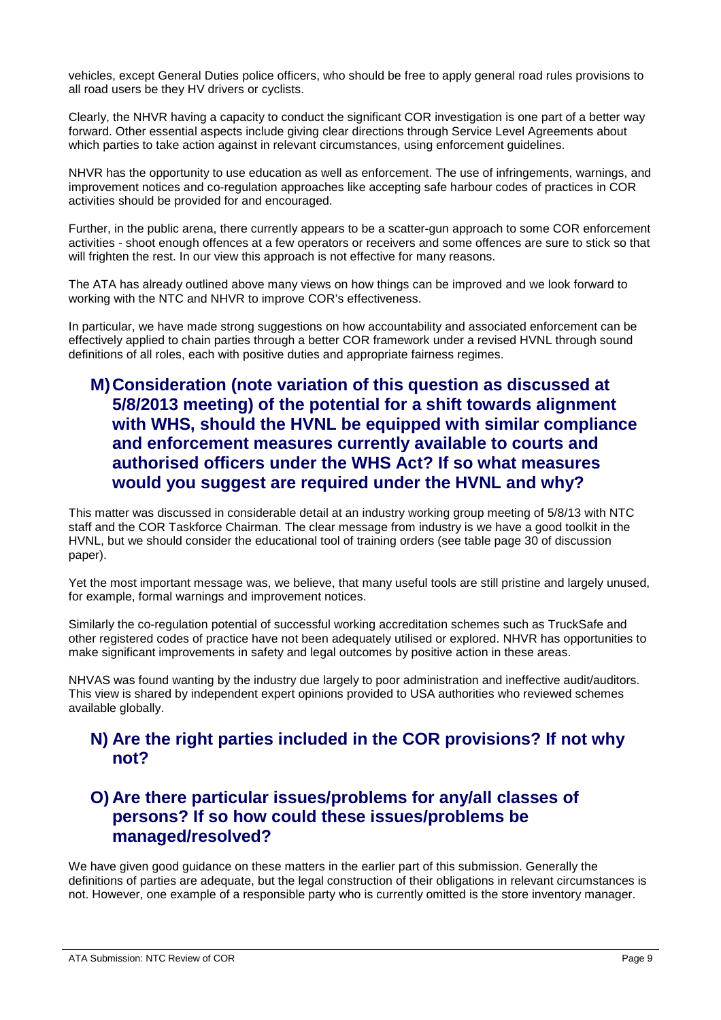vehicles, except General Duties police officers, who should be free to apply general road rules provisions to all road users be they HV drivers or cyclists.

Clearly, the NHVR having a capacity to conduct the significant COR investigation is one part of a better way forward. Other essential aspects include giving clear directions through Service Level Agreements about which parties to take action against in relevant circumstances, using enforcement guidelines.

NHVR has the opportunity to use education as well as enforcement. The use of infringements, warnings, and improvement notices and co-regulation approaches like accepting safe harbour codes of practices in COR activities should be provided for and encouraged.

Further, in the public arena, there currently appears to be a scatter-gun approach to some COR enforcement activities - shoot enough offences at a few operators or receivers and some offences are sure to stick so that will frighten the rest. In our view this approach is not effective for many reasons.

The ATA has already outlined above many views on how things can be improved and we look forward to working with the NTC and NHVR to improve COR's effectiveness.

In particular, we have made strong suggestions on how accountability and associated enforcement can be effectively applied to chain parties through a better COR framework under a revised HVNL through sound definitions of all roles, each with positive duties and appropriate fairness regimes.

# **M)Consideration (note variation of this question as discussed at 5/8/2013 meeting) of the potential for a shift towards alignment with WHS, should the HVNL be equipped with similar compliance and enforcement measures currently available to courts and authorised officers under the WHS Act? If so what measures would you suggest are required under the HVNL and why?**

This matter was discussed in considerable detail at an industry working group meeting of 5/8/13 with NTC staff and the COR Taskforce Chairman. The clear message from industry is we have a good toolkit in the HVNL, but we should consider the educational tool of training orders (see table page 30 of discussion paper).

Yet the most important message was, we believe, that many useful tools are still pristine and largely unused, for example, formal warnings and improvement notices.

Similarly the co-regulation potential of successful working accreditation schemes such as TruckSafe and other registered codes of practice have not been adequately utilised or explored. NHVR has opportunities to make significant improvements in safety and legal outcomes by positive action in these areas.

NHVAS was found wanting by the industry due largely to poor administration and ineffective audit/auditors. This view is shared by independent expert opinions provided to USA authorities who reviewed schemes available globally.

### **N) Are the right parties included in the COR provisions? If not why not?**

## **O) Are there particular issues/problems for any/all classes of persons? If so how could these issues/problems be managed/resolved?**

We have given good guidance on these matters in the earlier part of this submission. Generally the definitions of parties are adequate, but the legal construction of their obligations in relevant circumstances is not. However, one example of a responsible party who is currently omitted is the store inventory manager.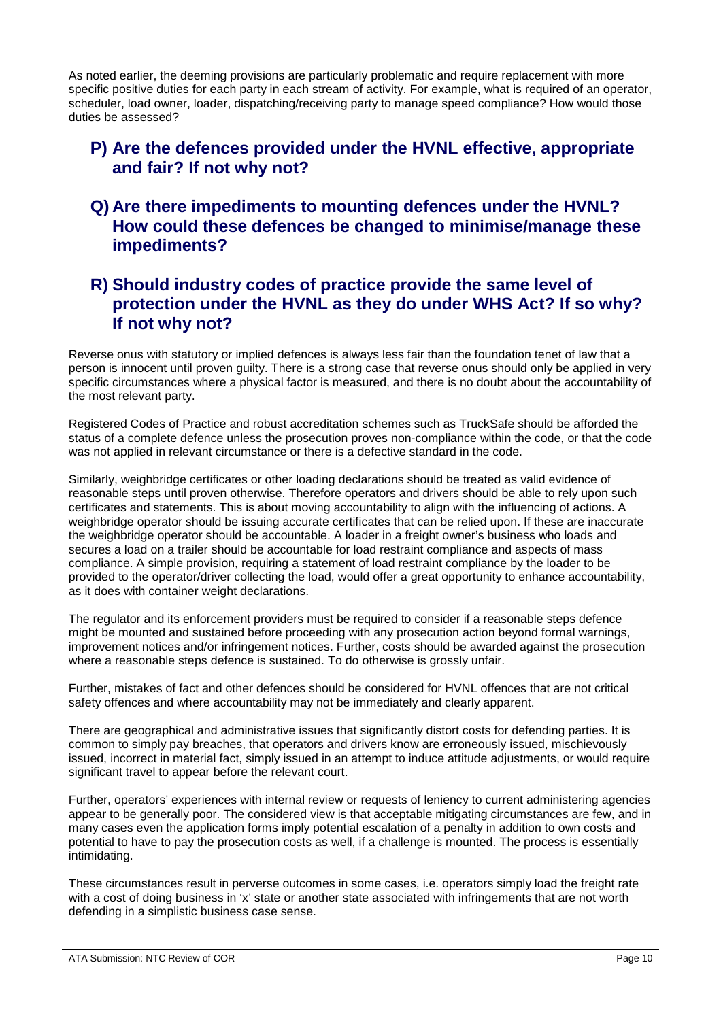As noted earlier, the deeming provisions are particularly problematic and require replacement with more specific positive duties for each party in each stream of activity. For example, what is required of an operator, scheduler, load owner, loader, dispatching/receiving party to manage speed compliance? How would those duties be assessed?

### **P) Are the defences provided under the HVNL effective, appropriate and fair? If not why not?**

**Q) Are there impediments to mounting defences under the HVNL? How could these defences be changed to minimise/manage these impediments?**

# **R) Should industry codes of practice provide the same level of protection under the HVNL as they do under WHS Act? If so why? If not why not?**

Reverse onus with statutory or implied defences is always less fair than the foundation tenet of law that a person is innocent until proven guilty. There is a strong case that reverse onus should only be applied in very specific circumstances where a physical factor is measured, and there is no doubt about the accountability of the most relevant party.

Registered Codes of Practice and robust accreditation schemes such as TruckSafe should be afforded the status of a complete defence unless the prosecution proves non-compliance within the code, or that the code was not applied in relevant circumstance or there is a defective standard in the code.

Similarly, weighbridge certificates or other loading declarations should be treated as valid evidence of reasonable steps until proven otherwise. Therefore operators and drivers should be able to rely upon such certificates and statements. This is about moving accountability to align with the influencing of actions. A weighbridge operator should be issuing accurate certificates that can be relied upon. If these are inaccurate the weighbridge operator should be accountable. A loader in a freight owner's business who loads and secures a load on a trailer should be accountable for load restraint compliance and aspects of mass compliance. A simple provision, requiring a statement of load restraint compliance by the loader to be provided to the operator/driver collecting the load, would offer a great opportunity to enhance accountability, as it does with container weight declarations.

The regulator and its enforcement providers must be required to consider if a reasonable steps defence might be mounted and sustained before proceeding with any prosecution action beyond formal warnings, improvement notices and/or infringement notices. Further, costs should be awarded against the prosecution where a reasonable steps defence is sustained. To do otherwise is grossly unfair.

Further, mistakes of fact and other defences should be considered for HVNL offences that are not critical safety offences and where accountability may not be immediately and clearly apparent.

There are geographical and administrative issues that significantly distort costs for defending parties. It is common to simply pay breaches, that operators and drivers know are erroneously issued, mischievously issued, incorrect in material fact, simply issued in an attempt to induce attitude adjustments, or would require significant travel to appear before the relevant court.

Further, operators' experiences with internal review or requests of leniency to current administering agencies appear to be generally poor. The considered view is that acceptable mitigating circumstances are few, and in many cases even the application forms imply potential escalation of a penalty in addition to own costs and potential to have to pay the prosecution costs as well, if a challenge is mounted. The process is essentially intimidating.

These circumstances result in perverse outcomes in some cases, i.e. operators simply load the freight rate with a cost of doing business in 'x' state or another state associated with infringements that are not worth defending in a simplistic business case sense.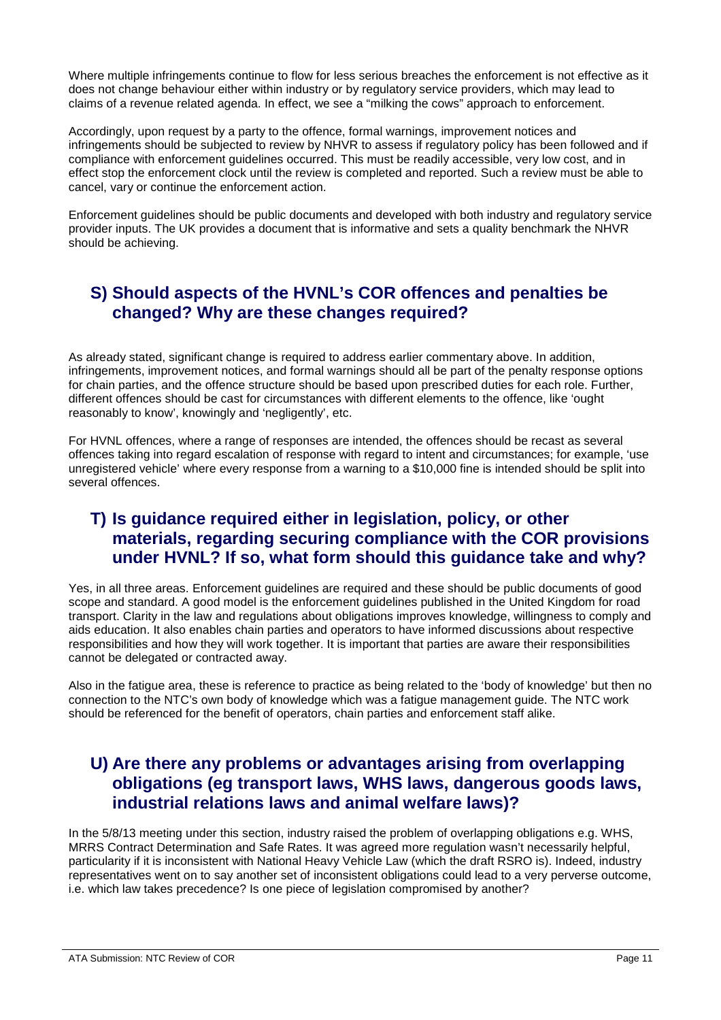Where multiple infringements continue to flow for less serious breaches the enforcement is not effective as it does not change behaviour either within industry or by regulatory service providers, which may lead to claims of a revenue related agenda. In effect, we see a "milking the cows" approach to enforcement.

Accordingly, upon request by a party to the offence, formal warnings, improvement notices and infringements should be subjected to review by NHVR to assess if regulatory policy has been followed and if compliance with enforcement guidelines occurred. This must be readily accessible, very low cost, and in effect stop the enforcement clock until the review is completed and reported. Such a review must be able to cancel, vary or continue the enforcement action.

Enforcement guidelines should be public documents and developed with both industry and regulatory service provider inputs. The UK provides a document that is informative and sets a quality benchmark the NHVR should be achieving.

# **S) Should aspects of the HVNL's COR offences and penalties be changed? Why are these changes required?**

As already stated, significant change is required to address earlier commentary above. In addition, infringements, improvement notices, and formal warnings should all be part of the penalty response options for chain parties, and the offence structure should be based upon prescribed duties for each role. Further, different offences should be cast for circumstances with different elements to the offence, like 'ought reasonably to know', knowingly and 'negligently', etc.

For HVNL offences, where a range of responses are intended, the offences should be recast as several offences taking into regard escalation of response with regard to intent and circumstances; for example, 'use unregistered vehicle' where every response from a warning to a \$10,000 fine is intended should be split into several offences.

## **T) Is guidance required either in legislation, policy, or other materials, regarding securing compliance with the COR provisions under HVNL? If so, what form should this guidance take and why?**

Yes, in all three areas. Enforcement guidelines are required and these should be public documents of good scope and standard. A good model is the enforcement guidelines published in the United Kingdom for road transport. Clarity in the law and regulations about obligations improves knowledge, willingness to comply and aids education. It also enables chain parties and operators to have informed discussions about respective responsibilities and how they will work together. It is important that parties are aware their responsibilities cannot be delegated or contracted away.

Also in the fatigue area, these is reference to practice as being related to the 'body of knowledge' but then no connection to the NTC's own body of knowledge which was a fatigue management guide. The NTC work should be referenced for the benefit of operators, chain parties and enforcement staff alike.

# **U) Are there any problems or advantages arising from overlapping obligations (eg transport laws, WHS laws, dangerous goods laws, industrial relations laws and animal welfare laws)?**

In the 5/8/13 meeting under this section, industry raised the problem of overlapping obligations e.g. WHS, MRRS Contract Determination and Safe Rates. It was agreed more regulation wasn't necessarily helpful, particularity if it is inconsistent with National Heavy Vehicle Law (which the draft RSRO is). Indeed, industry representatives went on to say another set of inconsistent obligations could lead to a very perverse outcome, i.e. which law takes precedence? Is one piece of legislation compromised by another?